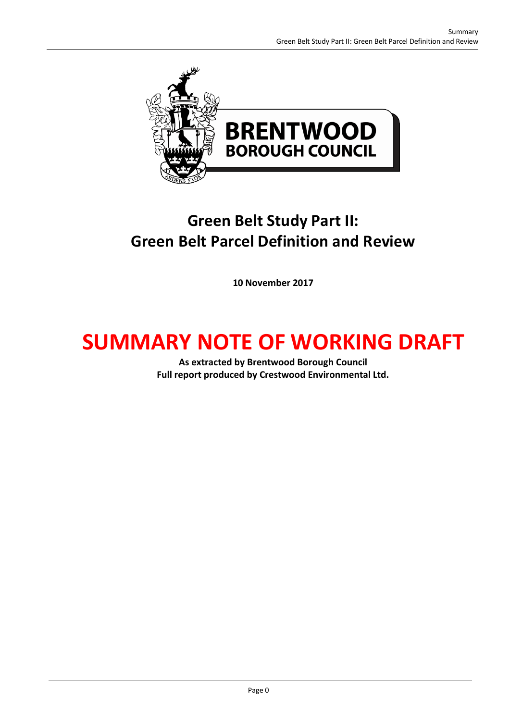

## **Green Belt Study Part II: Green Belt Parcel Definition and Review**

**10 November 2017**

# **SUMMARY NOTE OF WORKING DRAFT**

**As extracted by Brentwood Borough Council Full report produced by Crestwood Environmental Ltd.**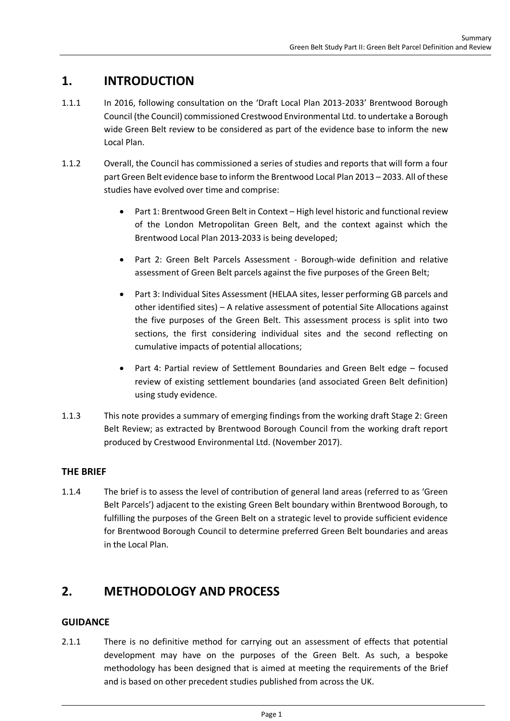## **1. INTRODUCTION**

- 1.1.1 In 2016, following consultation on the 'Draft Local Plan 2013-2033' Brentwood Borough Council (the Council) commissioned Crestwood Environmental Ltd. to undertake a Borough wide Green Belt review to be considered as part of the evidence base to inform the new Local Plan.
- 1.1.2 Overall, the Council has commissioned a series of studies and reports that will form a four part Green Belt evidence base to inform the Brentwood Local Plan 2013 – 2033. All of these studies have evolved over time and comprise:
	- Part 1: Brentwood Green Belt in Context High level historic and functional review of the London Metropolitan Green Belt, and the context against which the Brentwood Local Plan 2013-2033 is being developed;
	- Part 2: Green Belt Parcels Assessment Borough-wide definition and relative assessment of Green Belt parcels against the five purposes of the Green Belt;
	- Part 3: Individual Sites Assessment (HELAA sites, lesser performing GB parcels and other identified sites) – A relative assessment of potential Site Allocations against the five purposes of the Green Belt. This assessment process is split into two sections, the first considering individual sites and the second reflecting on cumulative impacts of potential allocations;
	- Part 4: Partial review of Settlement Boundaries and Green Belt edge focused review of existing settlement boundaries (and associated Green Belt definition) using study evidence.
- 1.1.3 This note provides a summary of emerging findings from the working draft Stage 2: Green Belt Review; as extracted by Brentwood Borough Council from the working draft report produced by Crestwood Environmental Ltd. (November 2017).

#### **THE BRIEF**

1.1.4 The brief is to assess the level of contribution of general land areas (referred to as 'Green Belt Parcels') adjacent to the existing Green Belt boundary within Brentwood Borough, to fulfilling the purposes of the Green Belt on a strategic level to provide sufficient evidence for Brentwood Borough Council to determine preferred Green Belt boundaries and areas in the Local Plan.

## **2. METHODOLOGY AND PROCESS**

#### **GUIDANCE**

2.1.1 There is no definitive method for carrying out an assessment of effects that potential development may have on the purposes of the Green Belt. As such, a bespoke methodology has been designed that is aimed at meeting the requirements of the Brief and is based on other precedent studies published from across the UK.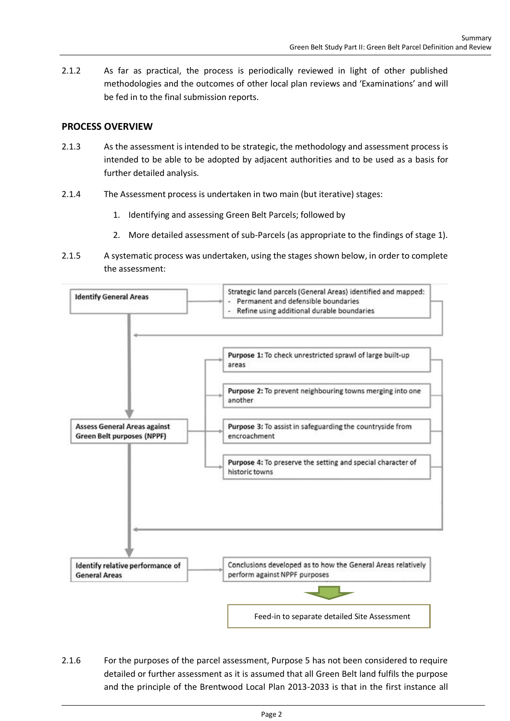2.1.2 As far as practical, the process is periodically reviewed in light of other published methodologies and the outcomes of other local plan reviews and 'Examinations' and will be fed in to the final submission reports.

#### **PROCESS OVERVIEW**

- 2.1.3 As the assessment is intended to be strategic, the methodology and assessment process is intended to be able to be adopted by adjacent authorities and to be used as a basis for further detailed analysis.
- 2.1.4 The Assessment process is undertaken in two main (but iterative) stages:
	- 1. Identifying and assessing Green Belt Parcels; followed by
	- 2. More detailed assessment of sub-Parcels (as appropriate to the findings of stage 1).
- 2.1.5 A systematic process was undertaken, using the stages shown below, in order to complete the assessment:



2.1.6 For the purposes of the parcel assessment, Purpose 5 has not been considered to require detailed or further assessment as it is assumed that all Green Belt land fulfils the purpose and the principle of the Brentwood Local Plan 2013-2033 is that in the first instance all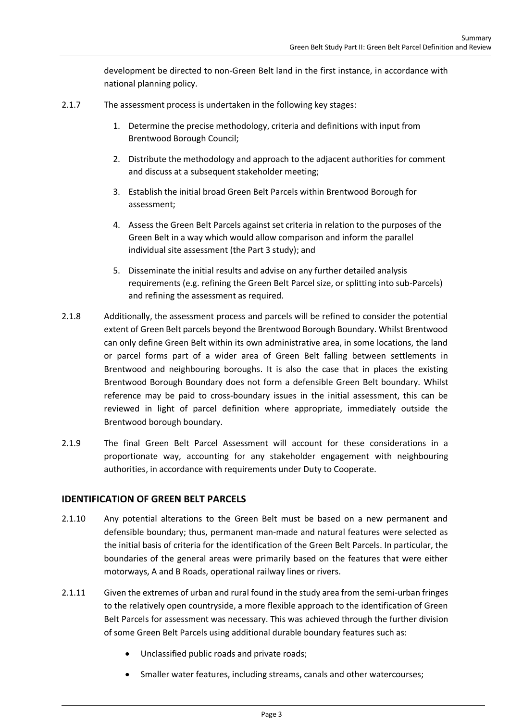development be directed to non-Green Belt land in the first instance, in accordance with national planning policy.

- 2.1.7 The assessment process is undertaken in the following key stages:
	- 1. Determine the precise methodology, criteria and definitions with input from Brentwood Borough Council;
	- 2. Distribute the methodology and approach to the adjacent authorities for comment and discuss at a subsequent stakeholder meeting;
	- 3. Establish the initial broad Green Belt Parcels within Brentwood Borough for assessment;
	- 4. Assess the Green Belt Parcels against set criteria in relation to the purposes of the Green Belt in a way which would allow comparison and inform the parallel individual site assessment (the Part 3 study); and
	- 5. Disseminate the initial results and advise on any further detailed analysis requirements (e.g. refining the Green Belt Parcel size, or splitting into sub-Parcels) and refining the assessment as required.
- 2.1.8 Additionally, the assessment process and parcels will be refined to consider the potential extent of Green Belt parcels beyond the Brentwood Borough Boundary. Whilst Brentwood can only define Green Belt within its own administrative area, in some locations, the land or parcel forms part of a wider area of Green Belt falling between settlements in Brentwood and neighbouring boroughs. It is also the case that in places the existing Brentwood Borough Boundary does not form a defensible Green Belt boundary. Whilst reference may be paid to cross-boundary issues in the initial assessment, this can be reviewed in light of parcel definition where appropriate, immediately outside the Brentwood borough boundary.
- 2.1.9 The final Green Belt Parcel Assessment will account for these considerations in a proportionate way, accounting for any stakeholder engagement with neighbouring authorities, in accordance with requirements under Duty to Cooperate.

#### **IDENTIFICATION OF GREEN BELT PARCELS**

- 2.1.10 Any potential alterations to the Green Belt must be based on a new permanent and defensible boundary; thus, permanent man-made and natural features were selected as the initial basis of criteria for the identification of the Green Belt Parcels. In particular, the boundaries of the general areas were primarily based on the features that were either motorways, A and B Roads, operational railway lines or rivers.
- 2.1.11 Given the extremes of urban and rural found in the study area from the semi-urban fringes to the relatively open countryside, a more flexible approach to the identification of Green Belt Parcels for assessment was necessary. This was achieved through the further division of some Green Belt Parcels using additional durable boundary features such as:
	- Unclassified public roads and private roads;
	- Smaller water features, including streams, canals and other watercourses;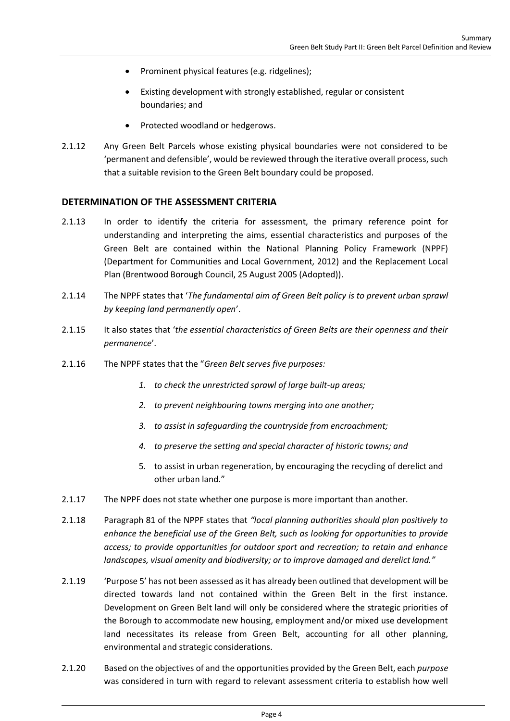- Prominent physical features (e.g. ridgelines);
- Existing development with strongly established, regular or consistent boundaries; and
- Protected woodland or hedgerows.
- 2.1.12 Any Green Belt Parcels whose existing physical boundaries were not considered to be 'permanent and defensible', would be reviewed through the iterative overall process, such that a suitable revision to the Green Belt boundary could be proposed.

#### **DETERMINATION OF THE ASSESSMENT CRITERIA**

- 2.1.13 In order to identify the criteria for assessment, the primary reference point for understanding and interpreting the aims, essential characteristics and purposes of the Green Belt are contained within the National Planning Policy Framework (NPPF) (Department for Communities and Local Government, 2012) and the Replacement Local Plan (Brentwood Borough Council, 25 August 2005 (Adopted)).
- 2.1.14 The NPPF states that '*The fundamental aim of Green Belt policy is to prevent urban sprawl by keeping land permanently open*'.
- 2.1.15 It also states that '*the essential characteristics of Green Belts are their openness and their permanence*'.
- 2.1.16 The NPPF states that the "*Green Belt serves five purposes:*
	- *1. to check the unrestricted sprawl of large built-up areas;*
	- *2. to prevent neighbouring towns merging into one another;*
	- *3. to assist in safeguarding the countryside from encroachment;*
	- *4. to preserve the setting and special character of historic towns; and*
	- 5. to assist in urban regeneration, by encouraging the recycling of derelict and other urban land."
- 2.1.17 The NPPF does not state whether one purpose is more important than another.
- 2.1.18 Paragraph 81 of the NPPF states that *"local planning authorities should plan positively to enhance the beneficial use of the Green Belt, such as looking for opportunities to provide access; to provide opportunities for outdoor sport and recreation; to retain and enhance landscapes, visual amenity and biodiversity; or to improve damaged and derelict land."*
- 2.1.19 'Purpose 5' has not been assessed as it has already been outlined that development will be directed towards land not contained within the Green Belt in the first instance. Development on Green Belt land will only be considered where the strategic priorities of the Borough to accommodate new housing, employment and/or mixed use development land necessitates its release from Green Belt, accounting for all other planning, environmental and strategic considerations.
- 2.1.20 Based on the objectives of and the opportunities provided by the Green Belt, each *purpose* was considered in turn with regard to relevant assessment criteria to establish how well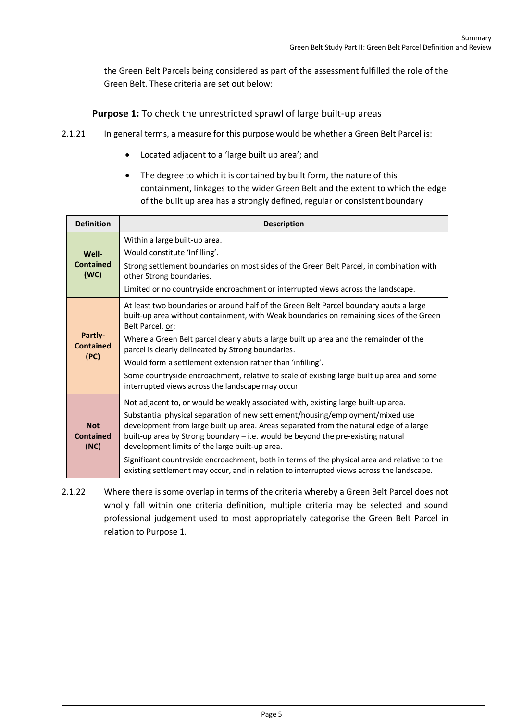the Green Belt Parcels being considered as part of the assessment fulfilled the role of the Green Belt. These criteria are set out below:

**Purpose 1:** To check the unrestricted sprawl of large built-up areas

- 2.1.21 In general terms, a measure for this purpose would be whether a Green Belt Parcel is:
	- Located adjacent to a 'large built up area'; and
	- The degree to which it is contained by built form, the nature of this containment, linkages to the wider Green Belt and the extent to which the edge of the built up area has a strongly defined, regular or consistent boundary

| <b>Definition</b>                      | <b>Description</b>                                                                                                                                                                                                                                                                                             |
|----------------------------------------|----------------------------------------------------------------------------------------------------------------------------------------------------------------------------------------------------------------------------------------------------------------------------------------------------------------|
| Well-<br><b>Contained</b><br>(WC)      | Within a large built-up area.<br>Would constitute 'Infilling'.                                                                                                                                                                                                                                                 |
|                                        | Strong settlement boundaries on most sides of the Green Belt Parcel, in combination with<br>other Strong boundaries.                                                                                                                                                                                           |
|                                        | Limited or no countryside encroachment or interrupted views across the landscape.                                                                                                                                                                                                                              |
| Partly-<br><b>Contained</b><br>(PC)    | At least two boundaries or around half of the Green Belt Parcel boundary abuts a large<br>built-up area without containment, with Weak boundaries on remaining sides of the Green<br>Belt Parcel, or;                                                                                                          |
|                                        | Where a Green Belt parcel clearly abuts a large built up area and the remainder of the<br>parcel is clearly delineated by Strong boundaries.                                                                                                                                                                   |
|                                        | Would form a settlement extension rather than 'infilling'.                                                                                                                                                                                                                                                     |
|                                        | Some countryside encroachment, relative to scale of existing large built up area and some<br>interrupted views across the landscape may occur.                                                                                                                                                                 |
| <b>Not</b><br><b>Contained</b><br>(NC) | Not adjacent to, or would be weakly associated with, existing large built-up area.                                                                                                                                                                                                                             |
|                                        | Substantial physical separation of new settlement/housing/employment/mixed use<br>development from large built up area. Areas separated from the natural edge of a large<br>built-up area by Strong boundary - i.e. would be beyond the pre-existing natural<br>development limits of the large built-up area. |
|                                        | Significant countryside encroachment, both in terms of the physical area and relative to the<br>existing settlement may occur, and in relation to interrupted views across the landscape.                                                                                                                      |

2.1.22 Where there is some overlap in terms of the criteria whereby a Green Belt Parcel does not wholly fall within one criteria definition, multiple criteria may be selected and sound professional judgement used to most appropriately categorise the Green Belt Parcel in relation to Purpose 1.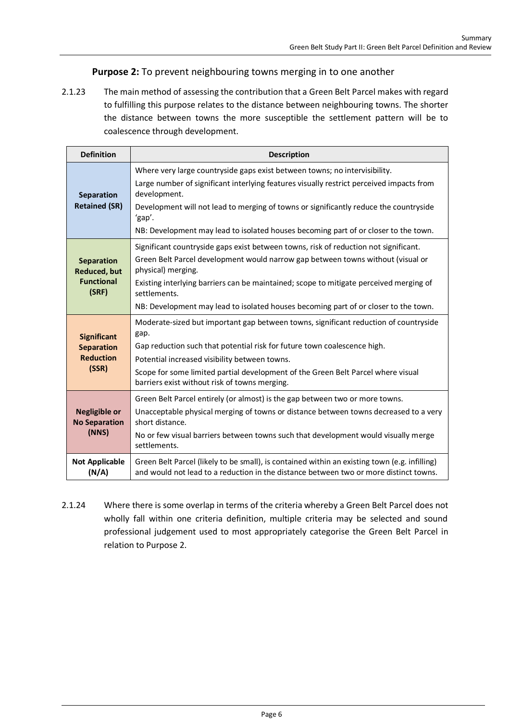#### **Purpose 2:** To prevent neighbouring towns merging in to one another

2.1.23 The main method of assessing the contribution that a Green Belt Parcel makes with regard to fulfilling this purpose relates to the distance between neighbouring towns. The shorter the distance between towns the more susceptible the settlement pattern will be to coalescence through development.

| <b>Definition</b>                                                      | <b>Description</b>                                                                                                                                                                                                                                                                                                                                                                             |
|------------------------------------------------------------------------|------------------------------------------------------------------------------------------------------------------------------------------------------------------------------------------------------------------------------------------------------------------------------------------------------------------------------------------------------------------------------------------------|
| Separation<br><b>Retained (SR)</b>                                     | Where very large countryside gaps exist between towns; no intervisibility.<br>Large number of significant interlying features visually restrict perceived impacts from<br>development.<br>Development will not lead to merging of towns or significantly reduce the countryside                                                                                                                |
|                                                                        | 'gap'.<br>NB: Development may lead to isolated houses becoming part of or closer to the town.                                                                                                                                                                                                                                                                                                  |
| <b>Separation</b><br><b>Reduced, but</b><br><b>Functional</b><br>(SRF) | Significant countryside gaps exist between towns, risk of reduction not significant.<br>Green Belt Parcel development would narrow gap between towns without (visual or<br>physical) merging.<br>Existing interlying barriers can be maintained; scope to mitigate perceived merging of<br>settlements.<br>NB: Development may lead to isolated houses becoming part of or closer to the town. |
| <b>Significant</b><br><b>Separation</b><br><b>Reduction</b><br>(SSR)   | Moderate-sized but important gap between towns, significant reduction of countryside<br>gap.<br>Gap reduction such that potential risk for future town coalescence high.<br>Potential increased visibility between towns.<br>Scope for some limited partial development of the Green Belt Parcel where visual<br>barriers exist without risk of towns merging.                                 |
| <b>Negligible or</b><br><b>No Separation</b><br>(NNS)                  | Green Belt Parcel entirely (or almost) is the gap between two or more towns.<br>Unacceptable physical merging of towns or distance between towns decreased to a very<br>short distance.<br>No or few visual barriers between towns such that development would visually merge<br>settlements.                                                                                                  |
| <b>Not Applicable</b><br>(N/A)                                         | Green Belt Parcel (likely to be small), is contained within an existing town (e.g. infilling)<br>and would not lead to a reduction in the distance between two or more distinct towns.                                                                                                                                                                                                         |

2.1.24 Where there is some overlap in terms of the criteria whereby a Green Belt Parcel does not wholly fall within one criteria definition, multiple criteria may be selected and sound professional judgement used to most appropriately categorise the Green Belt Parcel in relation to Purpose 2.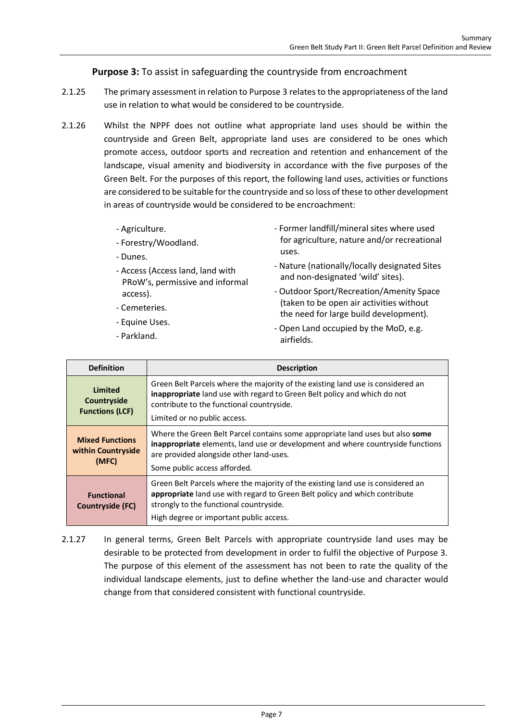#### **Purpose 3:** To assist in safeguarding the countryside from encroachment

- 2.1.25 The primary assessment in relation to Purpose 3 relates to the appropriateness of the land use in relation to what would be considered to be countryside.
- 2.1.26 Whilst the NPPF does not outline what appropriate land uses should be within the countryside and Green Belt, appropriate land uses are considered to be ones which promote access, outdoor sports and recreation and retention and enhancement of the landscape, visual amenity and biodiversity in accordance with the five purposes of the Green Belt. For the purposes of this report, the following land uses, activities or functions are considered to be suitable for the countryside and so loss of these to other development in areas of countryside would be considered to be encroachment:
	- Agriculture.
	- Forestry/Woodland.
	- Dunes.
	- Access (Access land, land with PRoW's, permissive and informal access).
	- Cemeteries.
	- Equine Uses.
	- Parkland.
- Former landfill/mineral sites where used for agriculture, nature and/or recreational uses.
- Nature (nationally/locally designated Sites and non-designated 'wild' sites).
- Outdoor Sport/Recreation/Amenity Space (taken to be open air activities without the need for large build development).
- Open Land occupied by the MoD, e.g. airfields.

| <b>Definition</b>                                       | <b>Description</b>                                                                                                                                                                                                                                  |
|---------------------------------------------------------|-----------------------------------------------------------------------------------------------------------------------------------------------------------------------------------------------------------------------------------------------------|
| <b>Limited</b><br>Countryside<br><b>Functions (LCF)</b> | Green Belt Parcels where the majority of the existing land use is considered an<br><b>inappropriate</b> land use with regard to Green Belt policy and which do not<br>contribute to the functional countryside.<br>Limited or no public access.     |
| <b>Mixed Functions</b><br>within Countryside<br>(MFC)   | Where the Green Belt Parcel contains some appropriate land uses but also some<br><b>inappropriate</b> elements, land use or development and where countryside functions<br>are provided alongside other land-uses.<br>Some public access afforded.  |
| <b>Functional</b><br>Countryside (FC)                   | Green Belt Parcels where the majority of the existing land use is considered an<br>appropriate land use with regard to Green Belt policy and which contribute<br>strongly to the functional countryside.<br>High degree or important public access. |

2.1.27 In general terms, Green Belt Parcels with appropriate countryside land uses may be desirable to be protected from development in order to fulfil the objective of Purpose 3. The purpose of this element of the assessment has not been to rate the quality of the individual landscape elements, just to define whether the land-use and character would change from that considered consistent with functional countryside.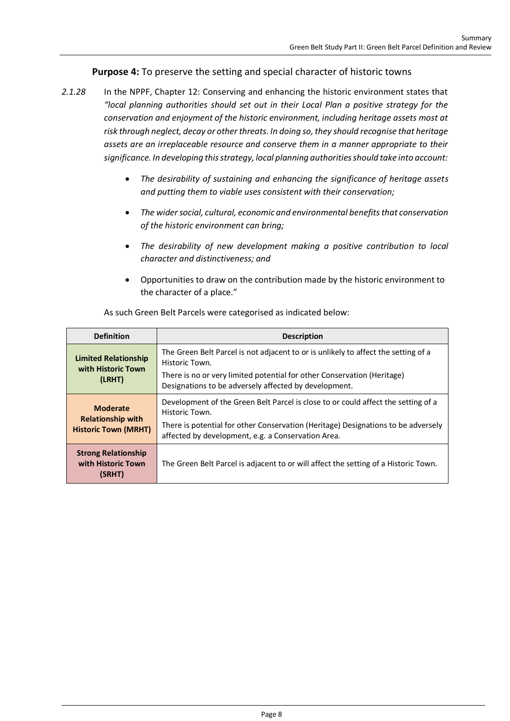#### **Purpose 4:** To preserve the setting and special character of historic towns

- *2.1.28* In the NPPF, Chapter 12: Conserving and enhancing the historic environment states that *"local planning authorities should set out in their Local Plan a positive strategy for the conservation and enjoyment of the historic environment, including heritage assets most at risk through neglect, decay or other threats. In doing so, they should recognise that heritage assets are an irreplaceable resource and conserve them in a manner appropriate to their significance. In developing this strategy, local planning authorities should take into account:*
	- *The desirability of sustaining and enhancing the significance of heritage assets and putting them to viable uses consistent with their conservation;*
	- *The wider social, cultural, economic and environmental benefits that conservation of the historic environment can bring;*
	- *The desirability of new development making a positive contribution to local character and distinctiveness; and*
	- Opportunities to draw on the contribution made by the historic environment to the character of a place."

| <b>Definition</b>                                          | <b>Description</b>                                                                                                                      |
|------------------------------------------------------------|-----------------------------------------------------------------------------------------------------------------------------------------|
| <b>Limited Relationship</b><br>with Historic Town          | The Green Belt Parcel is not adjacent to or is unlikely to affect the setting of a<br>Historic Town.                                    |
| (LRHT)                                                     | There is no or very limited potential for other Conservation (Heritage)<br>Designations to be adversely affected by development.        |
| <b>Moderate</b>                                            | Development of the Green Belt Parcel is close to or could affect the setting of a<br>Historic Town.                                     |
| <b>Relationship with</b><br><b>Historic Town (MRHT)</b>    | There is potential for other Conservation (Heritage) Designations to be adversely<br>affected by development, e.g. a Conservation Area. |
| <b>Strong Relationship</b><br>with Historic Town<br>(SRHT) | The Green Belt Parcel is adjacent to or will affect the setting of a Historic Town.                                                     |

As such Green Belt Parcels were categorised as indicated below: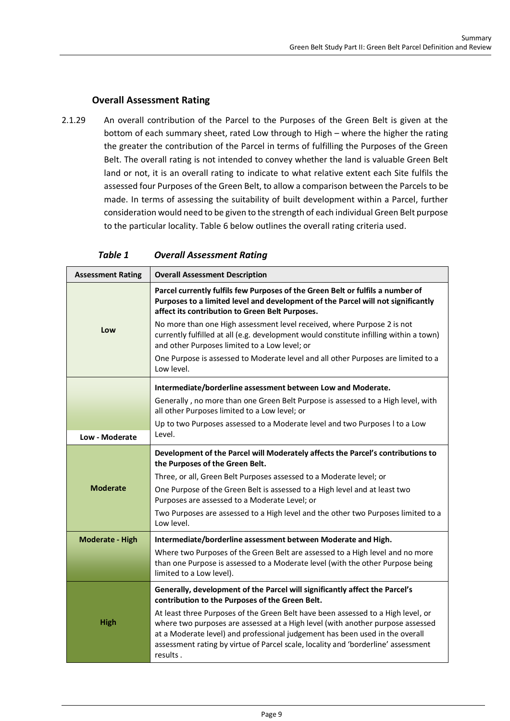#### **Overall Assessment Rating**

2.1.29 An overall contribution of the Parcel to the Purposes of the Green Belt is given at the bottom of each summary sheet, rated Low through to High – where the higher the rating the greater the contribution of the Parcel in terms of fulfilling the Purposes of the Green Belt. The overall rating is not intended to convey whether the land is valuable Green Belt land or not, it is an overall rating to indicate to what relative extent each Site fulfils the assessed four Purposes of the Green Belt, to allow a comparison between the Parcels to be made. In terms of assessing the suitability of built development within a Parcel, further consideration would need to be given to the strength of each individual Green Belt purpose to the particular locality. Table 6 below outlines the overall rating criteria used.

| <b>Assessment Rating</b> | <b>Overall Assessment Description</b>                                                                                                                                                                                 |
|--------------------------|-----------------------------------------------------------------------------------------------------------------------------------------------------------------------------------------------------------------------|
|                          | Parcel currently fulfils few Purposes of the Green Belt or fulfils a number of<br>Purposes to a limited level and development of the Parcel will not significantly<br>affect its contribution to Green Belt Purposes. |
| Low                      | No more than one High assessment level received, where Purpose 2 is not<br>currently fulfilled at all (e.g. development would constitute infilling within a town)<br>and other Purposes limited to a Low level; or    |
|                          | One Purpose is assessed to Moderate level and all other Purposes are limited to a<br>Low level.                                                                                                                       |
|                          | Intermediate/borderline assessment between Low and Moderate.                                                                                                                                                          |
|                          | Generally, no more than one Green Belt Purpose is assessed to a High level, with<br>all other Purposes limited to a Low level; or                                                                                     |
|                          | Up to two Purposes assessed to a Moderate level and two Purposes I to a Low<br>Level.                                                                                                                                 |
| Low - Moderate           |                                                                                                                                                                                                                       |
|                          | Development of the Parcel will Moderately affects the Parcel's contributions to<br>the Purposes of the Green Belt.                                                                                                    |
|                          | Three, or all, Green Belt Purposes assessed to a Moderate level; or                                                                                                                                                   |
| <b>Moderate</b>          | One Purpose of the Green Belt is assessed to a High level and at least two<br>Purposes are assessed to a Moderate Level; or                                                                                           |
|                          | Two Purposes are assessed to a High level and the other two Purposes limited to a<br>Low level.                                                                                                                       |
| <b>Moderate - High</b>   | Intermediate/borderline assessment between Moderate and High.                                                                                                                                                         |
|                          | Where two Purposes of the Green Belt are assessed to a High level and no more<br>than one Purpose is assessed to a Moderate level (with the other Purpose being<br>limited to a Low level).                           |
|                          | Generally, development of the Parcel will significantly affect the Parcel's                                                                                                                                           |
|                          | contribution to the Purposes of the Green Belt.                                                                                                                                                                       |
| <b>High</b>              | At least three Purposes of the Green Belt have been assessed to a High level, or<br>where two purposes are assessed at a High level (with another purpose assessed                                                    |
|                          | at a Moderate level) and professional judgement has been used in the overall                                                                                                                                          |
|                          | assessment rating by virtue of Parcel scale, locality and 'borderline' assessment<br>results.                                                                                                                         |

*Table 1 Overall Assessment Rating*